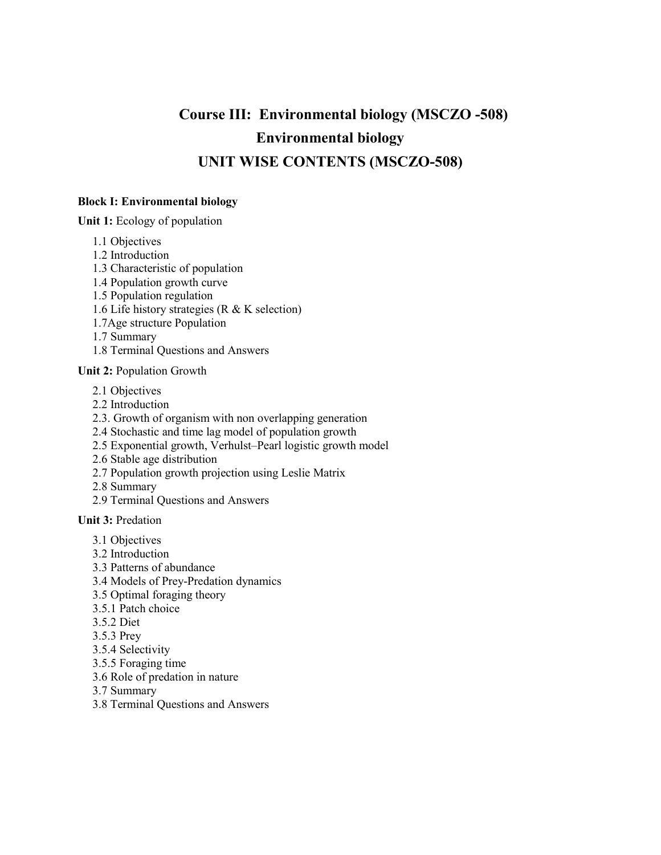## **Course III: Environmental biology (MSCZO -508) Environmental biology UNIT WISE CONTENTS (MSCZO-508)**

## **Block I: Environmental biology**

**Unit 1:** Ecology of population

- 1.1 Objectives
- 1.2 Introduction
- 1.3 Characteristic of population
- 1.4 Population growth curve
- 1.5 Population regulation
- 1.6 Life history strategies (R & K selection)
- 1.7Age structure Population
- 1.7 Summary
- 1.8 Terminal Questions and Answers

## **Unit 2:** Population Growth

- 2.1 Objectives
- 2.2 Introduction
- 2.3. Growth of organism with non overlapping generation
- 2.4 Stochastic and time lag model of population growth
- 2.5 Exponential growth, Verhulst–Pearl logistic growth model
- 2.6 Stable age distribution
- 2.7 Population growth projection using Leslie Matrix
- 2.8 Summary
- 2.9 Terminal Questions and Answers

**Unit 3:** Predation

- 3.1 Objectives
- 3.2 Introduction
- 3.3 Patterns of abundance
- 3.4 Models of Prey-Predation dynamics
- 3.5 Optimal foraging theory
- 3.5.1 Patch choice
- 3.5.2 Diet
- 3.5.3 Prey
- 3.5.4 Selectivity
- 3.5.5 Foraging time
- 3.6 Role of predation in nature
- 3.7 Summary
- 3.8 Terminal Questions and Answers